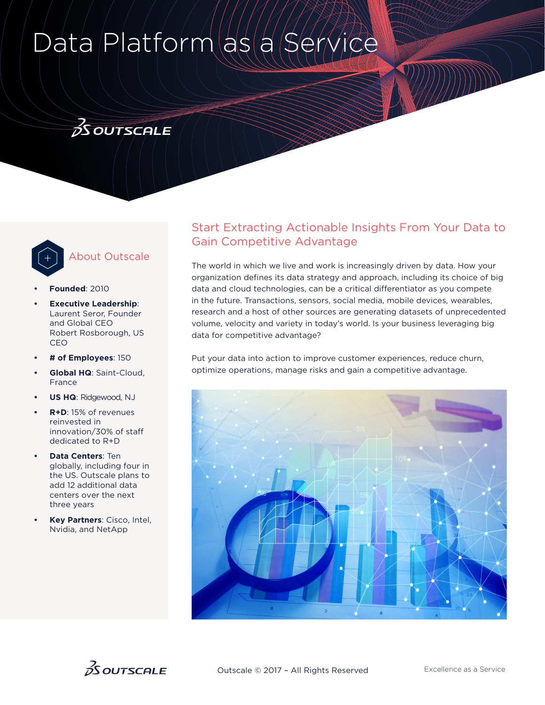# Data Platform as

# $3$  OUTSCALE



## About Outscale

- **• Founded**: 2010
- **Executive Leadership:** Laurent Seror, Founder and Global CEO Robert Rosborough, US CEO
- **# of Employees**: 150
- **Global HQ**: Saint-Cloud, France
- **US HQ**: Ridgewood, NJ
- **R+D**: 15% of revenues reinvested in innovation/30% of staff dedicated to R+D
- **Data Centers**: Ten globally, including four in the US. Outscale plans to add 12 additional data centers over the next three years
- **Key Partners**: Cisco, Intel, Nvidia, and NetApp

### Start Extracting Actionable Insights From Your Data to Gain Competitive Advantage

The world in which we live and work is increasingly driven by data. How your organization defines its data strategy and approach, including its choice of big data and cloud technologies, can be a critical differentiator as you compete in the future. Transactions, sensors, social media, mobile devices, wearables, research and a host of other sources are generating datasets of unprecedented volume, velocity and variety in today's world. Is your business leveraging big data for competitive advantage?

Put your data into action to improve customer experiences, reduce churn, optimize operations, manage risks and gain a competitive advantage.



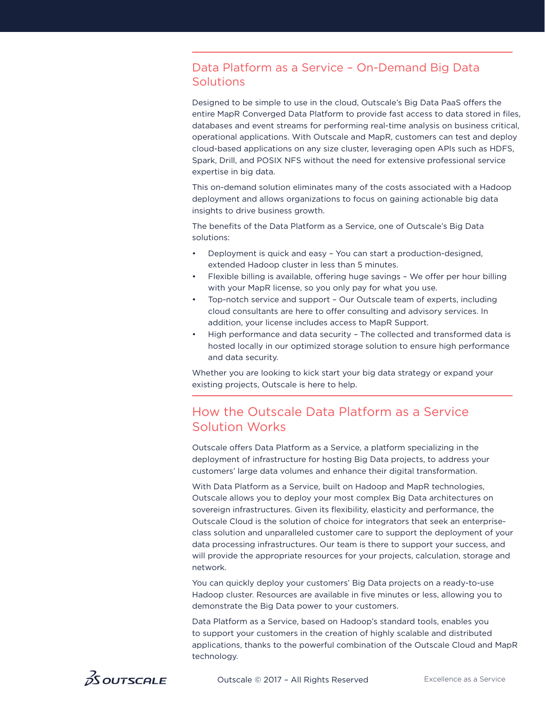#### Data Platform as a Service – On-Demand Big Data **Solutions**

Designed to be simple to use in the cloud, Outscale's Big Data PaaS offers the entire MapR Converged Data Platform to provide fast access to data stored in files, databases and event streams for performing real-time analysis on business critical, operational applications. With Outscale and MapR, customers can test and deploy cloud-based applications on any size cluster, leveraging open APIs such as HDFS, Spark, Drill, and POSIX NFS without the need for extensive professional service expertise in big data.

This on-demand solution eliminates many of the costs associated with a Hadoop deployment and allows organizations to focus on gaining actionable big data insights to drive business growth.

The benefits of the Data Platform as a Service, one of Outscale's Big Data solutions:

- Deployment is quick and easy You can start a production-designed, extended Hadoop cluster in less than 5 minutes.
- Flexible billing is available, offering huge savings We offer per hour billing with your MapR license, so you only pay for what you use.
- Top-notch service and support Our Outscale team of experts, including cloud consultants are here to offer consulting and advisory services. In addition, your license includes access to MapR Support.
- High performance and data security The collected and transformed data is hosted locally in our optimized storage solution to ensure high performance and data security.

Whether you are looking to kick start your big data strategy or expand your existing projects, Outscale is here to help.

### How the Outscale Data Platform as a Service Solution Works

Outscale offers Data Platform as a Service, a platform specializing in the deployment of infrastructure for hosting Big Data projects, to address your customers' large data volumes and enhance their digital transformation.

With Data Platform as a Service, built on Hadoop and MapR technologies, Outscale allows you to deploy your most complex Big Data architectures on sovereign infrastructures. Given its flexibility, elasticity and performance, the Outscale Cloud is the solution of choice for integrators that seek an enterpriseclass solution and unparalleled customer care to support the deployment of your data processing infrastructures. Our team is there to support your success, and will provide the appropriate resources for your projects, calculation, storage and network.

You can quickly deploy your customers' Big Data projects on a ready-to-use Hadoop cluster. Resources are available in five minutes or less, allowing you to demonstrate the Big Data power to your customers.

Data Platform as a Service, based on Hadoop's standard tools, enables you to support your customers in the creation of highly scalable and distributed applications, thanks to the powerful combination of the Outscale Cloud and MapR technology.